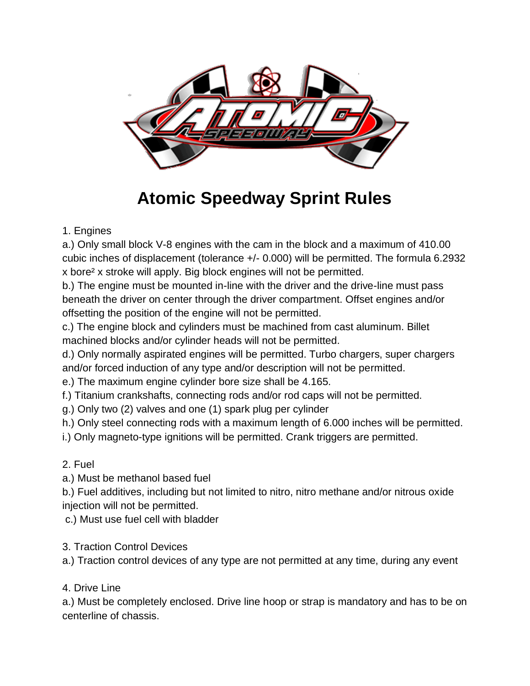

# **Atomic Speedway Sprint Rules**

### 1. Engines

a.) Only small block V-8 engines with the cam in the block and a maximum of 410.00 cubic inches of displacement (tolerance +/- 0.000) will be permitted. The formula 6.2932 x bore² x stroke will apply. Big block engines will not be permitted.

b.) The engine must be mounted in-line with the driver and the drive-line must pass beneath the driver on center through the driver compartment. Offset engines and/or offsetting the position of the engine will not be permitted.

c.) The engine block and cylinders must be machined from cast aluminum. Billet machined blocks and/or cylinder heads will not be permitted.

d.) Only normally aspirated engines will be permitted. Turbo chargers, super chargers and/or forced induction of any type and/or description will not be permitted.

e.) The maximum engine cylinder bore size shall be 4.165.

f.) Titanium crankshafts, connecting rods and/or rod caps will not be permitted.

g.) Only two (2) valves and one (1) spark plug per cylinder

h.) Only steel connecting rods with a maximum length of 6.000 inches will be permitted.

i.) Only magneto-type ignitions will be permitted. Crank triggers are permitted.

#### 2. Fuel

a.) Must be methanol based fuel

b.) Fuel additives, including but not limited to nitro, nitro methane and/or nitrous oxide injection will not be permitted.

c.) Must use fuel cell with bladder

3. Traction Control Devices

a.) Traction control devices of any type are not permitted at any time, during any event

4. Drive Line

a.) Must be completely enclosed. Drive line hoop or strap is mandatory and has to be on centerline of chassis.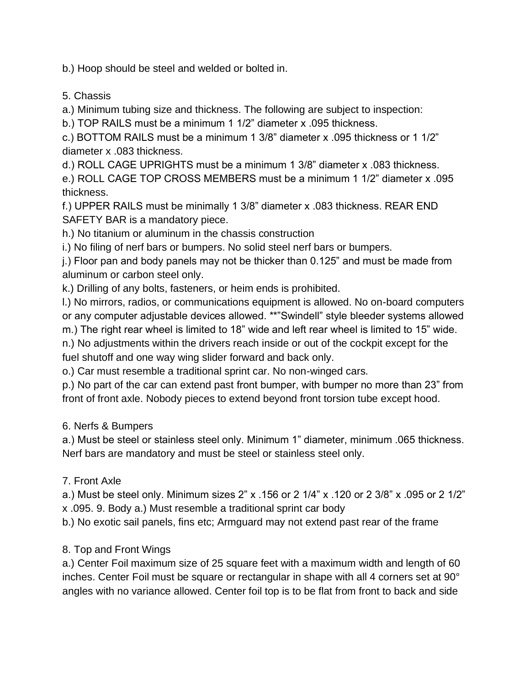b.) Hoop should be steel and welded or bolted in.

5. Chassis

a.) Minimum tubing size and thickness. The following are subject to inspection:

b.) TOP RAILS must be a minimum 1 1/2" diameter x .095 thickness.

c.) BOTTOM RAILS must be a minimum 1 3/8" diameter x .095 thickness or 1 1/2" diameter x .083 thickness.

d.) ROLL CAGE UPRIGHTS must be a minimum 1 3/8" diameter x .083 thickness.

e.) ROLL CAGE TOP CROSS MEMBERS must be a minimum 1 1/2" diameter x .095 thickness.

f.) UPPER RAILS must be minimally 1 3/8" diameter x .083 thickness. REAR END SAFETY BAR is a mandatory piece.

h.) No titanium or aluminum in the chassis construction

i.) No filing of nerf bars or bumpers. No solid steel nerf bars or bumpers.

j.) Floor pan and body panels may not be thicker than 0.125" and must be made from aluminum or carbon steel only.

k.) Drilling of any bolts, fasteners, or heim ends is prohibited.

l.) No mirrors, radios, or communications equipment is allowed. No on-board computers or any computer adjustable devices allowed. \*\*"Swindell" style bleeder systems allowed

m.) The right rear wheel is limited to 18" wide and left rear wheel is limited to 15" wide.

n.) No adjustments within the drivers reach inside or out of the cockpit except for the fuel shutoff and one way wing slider forward and back only.

o.) Car must resemble a traditional sprint car. No non-winged cars.

p.) No part of the car can extend past front bumper, with bumper no more than 23" from front of front axle. Nobody pieces to extend beyond front torsion tube except hood.

6. Nerfs & Bumpers

a.) Must be steel or stainless steel only. Minimum 1" diameter, minimum .065 thickness. Nerf bars are mandatory and must be steel or stainless steel only.

## 7. Front Axle

a.) Must be steel only. Minimum sizes 2" x .156 or 2 1/4" x .120 or 2 3/8" x .095 or 2 1/2" x .095. 9. Body a.) Must resemble a traditional sprint car body

b.) No exotic sail panels, fins etc; Armguard may not extend past rear of the frame

## 8. Top and Front Wings

a.) Center Foil maximum size of 25 square feet with a maximum width and length of 60 inches. Center Foil must be square or rectangular in shape with all 4 corners set at 90° angles with no variance allowed. Center foil top is to be flat from front to back and side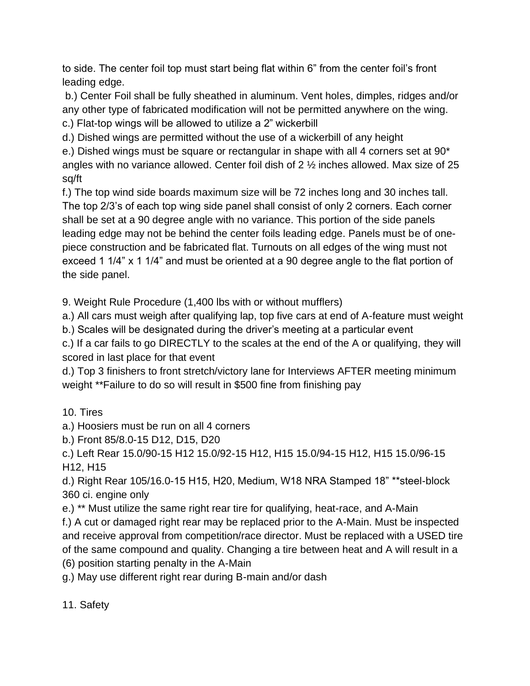to side. The center foil top must start being flat within 6" from the center foil's front leading edge.

b.) Center Foil shall be fully sheathed in aluminum. Vent holes, dimples, ridges and/or any other type of fabricated modification will not be permitted anywhere on the wing.

c.) Flat-top wings will be allowed to utilize a 2" wickerbill

d.) Dished wings are permitted without the use of a wickerbill of any height

e.) Dished wings must be square or rectangular in shape with all 4 corners set at 90\* angles with no variance allowed. Center foil dish of 2 ½ inches allowed. Max size of 25 sq/ft

f.) The top wind side boards maximum size will be 72 inches long and 30 inches tall. The top 2/3's of each top wing side panel shall consist of only 2 corners. Each corner shall be set at a 90 degree angle with no variance. This portion of the side panels leading edge may not be behind the center foils leading edge. Panels must be of onepiece construction and be fabricated flat. Turnouts on all edges of the wing must not exceed 1 1/4" x 1 1/4" and must be oriented at a 90 degree angle to the flat portion of the side panel.

9. Weight Rule Procedure (1,400 lbs with or without mufflers)

a.) All cars must weigh after qualifying lap, top five cars at end of A-feature must weight

b.) Scales will be designated during the driver's meeting at a particular event

c.) If a car fails to go DIRECTLY to the scales at the end of the A or qualifying, they will scored in last place for that event

d.) Top 3 finishers to front stretch/victory lane for Interviews AFTER meeting minimum weight \*\*Failure to do so will result in \$500 fine from finishing pay

10. Tires

a.) Hoosiers must be run on all 4 corners

b.) Front 85/8.0-15 D12, D15, D20

c.) Left Rear 15.0/90-15 H12 15.0/92-15 H12, H15 15.0/94-15 H12, H15 15.0/96-15 H12, H15

d.) Right Rear 105/16.0-15 H15, H20, Medium, W18 NRA Stamped 18" \*\*steel-block 360 ci. engine only

e.) \*\* Must utilize the same right rear tire for qualifying, heat-race, and A-Main

f.) A cut or damaged right rear may be replaced prior to the A-Main. Must be inspected and receive approval from competition/race director. Must be replaced with a USED tire of the same compound and quality. Changing a tire between heat and A will result in a (6) position starting penalty in the A-Main

g.) May use different right rear during B-main and/or dash

11. Safety